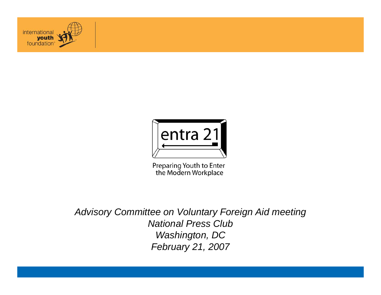



Preparing Youth to Enter the Modern Workplace

*Advisory Committee on Voluntary Foreign Aid meeting National Press Club Washington, DC February 21, 2007*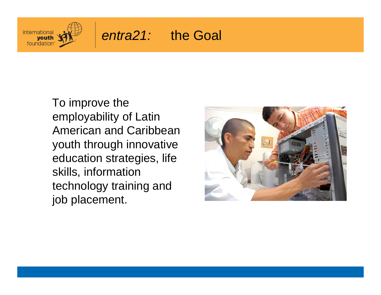

### *entra21:* the Goal

To improve the employability of Latin American and Caribbean youth through innovative education strategies, life skills, information technology training and job placement.

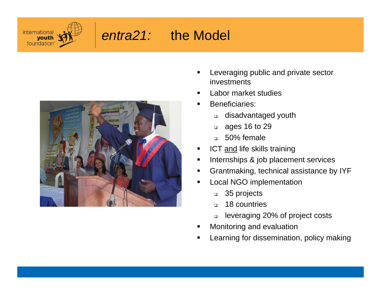

# *entra21:* the Model



- Leveraging public and private sector investments
- $\blacksquare$ Labor market studies
- $\blacksquare$  Beneficiaries:
	- $\Box$ disadvantaged youth
	- $\Box$ ages 16 to 29
	- 50% female
- $\blacksquare$ ICT and life skills training
- $\blacksquare$ Internships & job placement services
- Ш Grantmaking, technical assistance by IYF
- П Local NGO implementation
	- $\Box$ 35 projects
	- $\Box$ 18 countries
	- $\Box$ leveraging 20% of project costs
- Monitoring and evaluation
- Ш Learning for dissemination, policy making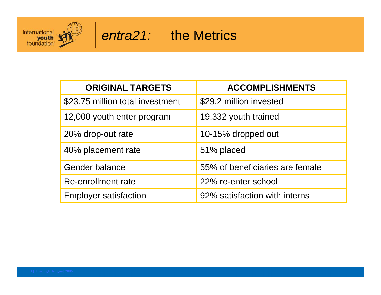

#### *entra21:* the Metrics

| <b>ORIGINAL TARGETS</b>          | <b>ACCOMPLISHMENTS</b>          |
|----------------------------------|---------------------------------|
| \$23.75 million total investment | \$29.2 million invested         |
| 12,000 youth enter program       | 19,332 youth trained            |
| 20% drop-out rate                | 10-15% dropped out              |
| 40% placement rate               | 51% placed                      |
| Gender balance                   | 55% of beneficiaries are female |
| Re-enrollment rate               | 22% re-enter school             |
| <b>Employer satisfaction</b>     | 92% satisfaction with interns   |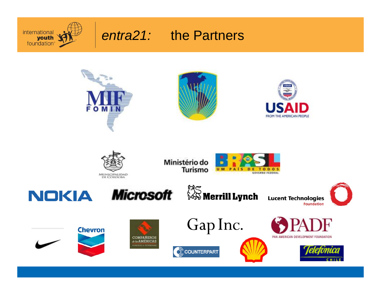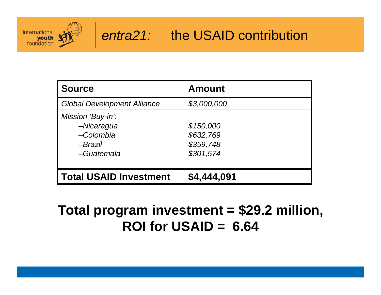

#### *entra21:* the USAID contribution

| <b>Source</b>                                                                | <b>Amount</b>                                    |
|------------------------------------------------------------------------------|--------------------------------------------------|
| <b>Global Development Alliance</b>                                           | \$3,000,000                                      |
| Mission 'Buy-in':<br>-Nicaragua<br>-Colombia<br><i>-Brazil</i><br>-Guatemala | \$150,000<br>\$632,769<br>\$359,748<br>\$301,574 |
| <b>Total USAID Investment</b>                                                | \$4,444,091                                      |

## **Total program investment = \$29.2 million, ROI for USAID = 6.64**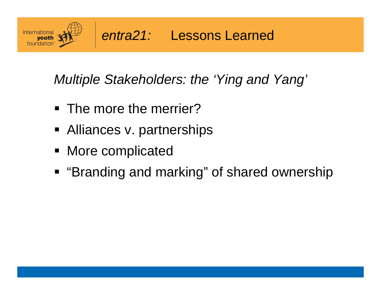

*Multiple Stakeholders: the 'Ying and Yang'* 

- **The more the merrier?**
- **Alliances v. partnerships**
- More complicated
- "Branding and marking" of shared ownership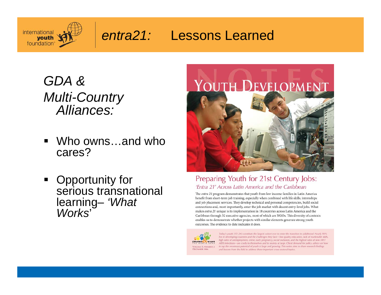

## *entra21:* Lessons Learned

*GDA & Multi-Country Alliances:* 

- ٠ Who owns…and who cares?
- **•** Opportunity for serious transnational learning– *'What Works*'



#### Preparing Youth for 21st Century Jobs: 'Entra 21' Across Latin America and the Caribbean

The entra 21 program demonstrates that youth from low income families in Latin America benefit from short-term job training, especially when combined with life skills, internships and job placement services. They develop technical and personal competencies, build social connections and, most importantly, enter the job market with decent entry-level jobs. What makes entra 21 unique is its implementation in 18 countries across Latin America and the Caribbean through 32 executive agencies, most of which are NGOs. This diversity of contexts enables us to demonstrate whether projects with similar elements generate strong youth outcomes. The evidence to date indicates it does.



Today's youth (15-24) constitute the largest cohort ever to enter the transition to adulthood. Nearly 90% live in developing countries and the challenges they face-low quality education, lack of marketable skills, high rates of unemployment, crime, early pregnancy, social exclusion, and the highest rates of new HIV/ AIDS infections-are costly to themselves and to society at large. Client demand for policy advice on how to tap the enormous potential of youth is large and growing. This series aims to share research findings and lessons from the field to address these important cross-sectoral topics.